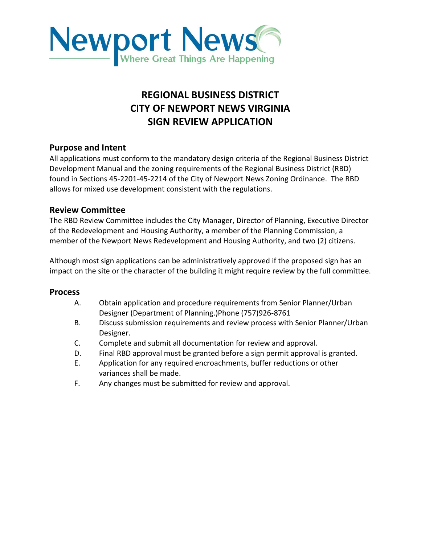

## **REGIONAL BUSINESS DISTRICT CITY OF NEWPORT NEWS VIRGINIA SIGN REVIEW APPLICATION**

## **Purpose and Intent**

All applications must conform to the mandatory design criteria of the Regional Business District Development Manual and the zoning requirements of the Regional Business District (RBD) found in Sections 45-2201-45-2214 of the City of Newport News Zoning Ordinance. The RBD allows for mixed use development consistent with the regulations.

## **Review Committee**

The RBD Review Committee includes the City Manager, Director of Planning, Executive Director of the Redevelopment and Housing Authority, a member of the Planning Commission, a member of the Newport News Redevelopment and Housing Authority, and two (2) citizens.

Although most sign applications can be administratively approved if the proposed sign has an impact on the site or the character of the building it might require review by the full committee.

## **Process**

- A. Obtain application and procedure requirements from Senior Planner/Urban Designer (Department of Planning.)Phone (757)926-8761
- B. Discuss submission requirements and review process with Senior Planner/Urban Designer.
- C. Complete and submit all documentation for review and approval.
- D. Final RBD approval must be granted before a sign permit approval is granted.
- E. Application for any required encroachments, buffer reductions or other variances shall be made.
- F. Any changes must be submitted for review and approval.